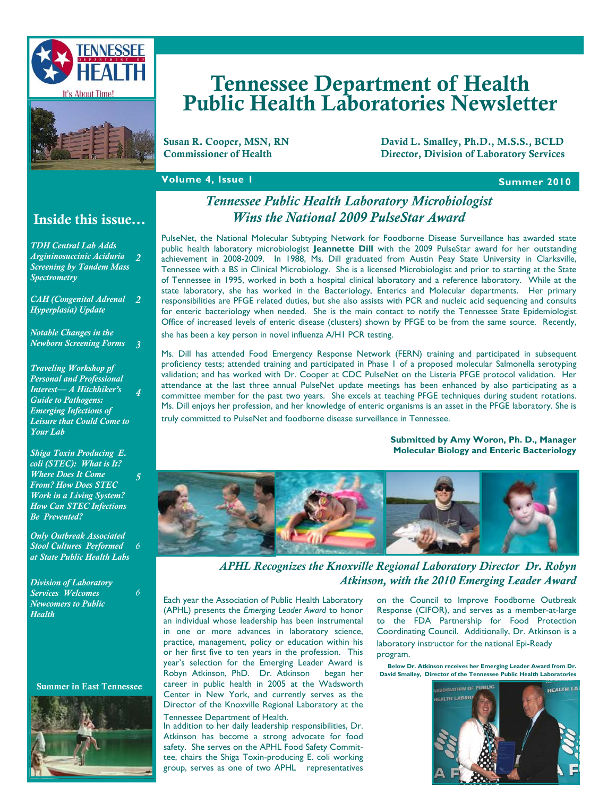



# Tennessee Department of Health Public Health Laboratories Newsletter

Susan R. Cooper, MSN, RN David L. Smalley, Ph.D., M.S.S., BCLD<br>Commissioner of Health Director. Division of Laboratory Services Director, Division of Laboratory Services

## **Volume 4, Issue 1 Summer 2010 Summer 2010**

## Inside this issue...

*TDH Central Lab Adds Argininosuccinic Aciduria 2 Screening by Tandem Mass Spectrometry*

*CAH (Congenital Adrenal 2 Hyperplasia) Update* 

*Notable Changes in the Newborn Screening Forms 3* 

*Traveling Workshop pf Personal and Professional Interest— A Hitchhiker's Guide to Pathogens: Emerging Infections of Leisure that Could Come to Your Lab 4* 

*Shiga Toxin Producing E. coli (STEC): What is It? Where Does It Come From? How Does STEC Work in a Living System? How Can STEC Infections Be Prevented?* 

*5* 

*6* 

*Only Outbreak Associated Stool Cultures Performed at State Public Health Labs 6* 

*Division of Laboratory Services Welcomes Newcomers to Public Health* 

Summer in East Tennessee



## *Tennessee Public Health Laboratory Microbiologist Wins the National 2009 PulseStar Award*

PulseNet, the National Molecular Subtyping Network for Foodborne Disease Surveillance has awarded state public health laboratory microbiologist **Jeannette Dill** with the 2009 PulseStar award for her outstanding achievement in 2008-2009. In 1988, Ms. Dill graduated from Austin Peay State University in Clarksville, Tennessee with a BS in Clinical Microbiology. She is a licensed Microbiologist and prior to starting at the State of Tennessee in 1995, worked in both a hospital clinical laboratory and a reference laboratory. While at the state laboratory, she has worked in the Bacteriology, Enterics and Molecular departments. Her primary responsibilities are PFGE related duties, but she also assists with PCR and nucleic acid sequencing and consults for enteric bacteriology when needed. She is the main contact to notify the Tennessee State Epidemiologist Office of increased levels of enteric disease (clusters) shown by PFGE to be from the same source. Recently, she has been a key person in novel influenza A/H1 PCR testing.

Ms. Dill has attended Food Emergency Response Network (FERN) training and participated in subsequent proficiency tests; attended training and participated in Phase 1 of a proposed molecular Salmonella serotyping validation; and has worked with Dr. Cooper at CDC PulseNet on the Listeria PFGE protocol validation. Her attendance at the last three annual PulseNet update meetings has been enhanced by also participating as a committee member for the past two years. She excels at teaching PFGE techniques during student rotations. Ms. Dill enjoys her profession, and her knowledge of enteric organisms is an asset in the PFGE laboratory. She is

truly committed to PulseNet and foodborne disease surveillance in Tennessee.

#### **Submitted by Amy Woron, Ph. D., Manager Molecular Biology and Enteric Bacteriology**



*APHL Recognizes the Knoxville Regional Laboratory Director Dr. Robyn Atkinson, with the 2010 Emerging Leader Award* 

Each year the Association of Public Health Laboratory (APHL) presents the *Emerging Leader Award* to honor an individual whose leadership has been instrumental in one or more advances in laboratory science, practice, management, policy or education within his or her first five to ten years in the profession. This year's selection for the Emerging Leader Award is Robyn Atkinson, PhD. Dr. Atkinson began her career in public health in 2005 at the Wadsworth Center in New York, and currently serves as the Director of the Knoxville Regional Laboratory at the Tennessee Department of Health.

In addition to her daily leadership responsibilities, Dr. Atkinson has become a strong advocate for food safety. She serves on the APHL Food Safety Committee, chairs the Shiga Toxin-producing E. coli working group, serves as one of two APHL representatives

on the Council to Improve Foodborne Outbreak Response (CIFOR), and serves as a member-at-large to the FDA Partnership for Food Protection Coordinating Council. Additionally, Dr. Atkinson is a laboratory instructor for the national Epi-Ready program.

**Below Dr. Atkinson receives her Emerging Leader Award from Dr. David Smalley, Director of the Tennessee Public Health Laboratories** 

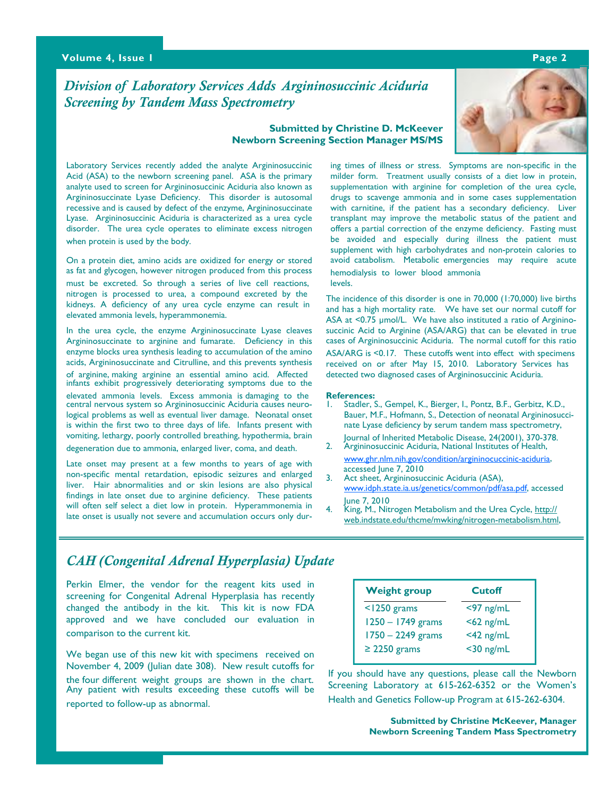### **Volume 4, Issue 1 Page 2**

## *Division of Laboratory Services Adds Argininosuccinic Aciduria Screening by Tandem Mass Spectrometry*

#### **Submitted by Christine D. McKeever Newborn Screening Section Manager MS/MS**



Laboratory Services recently added the analyte Argininosuccinic Acid (ASA) to the newborn screening panel. ASA is the primary analyte used to screen for Argininosuccinic Aciduria also known as Argininosuccinate Lyase Deficiency. This disorder is autosomal recessive and is caused by defect of the enzyme, Argininosuccinate Lyase. Argininosuccinic Aciduria is characterized as a urea cycle disorder. The urea cycle operates to eliminate excess nitrogen when protein is used by the body.

On a protein diet, amino acids are oxidized for energy or stored as fat and glycogen, however nitrogen produced from this process must be excreted. So through a series of live cell reactions, nitrogen is processed to urea, a compound excreted by the kidneys. A deficiency of any urea cycle enzyme can result in elevated ammonia levels, hyperammonemia.

 In the urea cycle, the enzyme Argininosuccinate Lyase cleaves Argininosuccinate to arginine and fumarate. Deficiency in this enzyme blocks urea synthesis leading to accumulation of the amino acids, Argininosuccinate and Citrulline, and this prevents synthesis of arginine, making arginine an essential amino acid. Affected infants exhibit progressively deteriorating symptoms due to the elevated ammonia levels. Excess ammonia is damaging to the central nervous system so Argininosuccinic Aciduria causes neurological problems as well as eventual liver damage. Neonatal onset is within the first two to three days of life. Infants present with vomiting, lethargy, poorly controlled breathing, hypothermia, brain degeneration due to ammonia, enlarged liver, coma, and death.

 Late onset may present at a few months to years of age with non-specific mental retardation, episodic seizures and enlarged liver. Hair abnormalities and or skin lesions are also physical findings in late onset due to arginine deficiency. These patients will often self select a diet low in protein. Hyperammonemia in late onset is usually not severe and accumulation occurs only dur-

ing times of illness or stress. Symptoms are non-specific in the milder form. Treatment usually consists of a diet low in protein, supplementation with arginine for completion of the urea cycle, drugs to scavenge ammonia and in some cases supplementation with carnitine, if the patient has a secondary deficiency. Liver transplant may improve the metabolic status of the patient and offers a partial correction of the enzyme deficiency. Fasting must be avoided and especially during illness the patient must supplement with high carbohydrates and non-protein calories to avoid catabolism. Metabolic emergencies may require acute hemodialysis to lower blood ammonia levels.

 The incidence of this disorder is one in 70,000 (1:70,000) live births and has a high mortality rate. We have set our normal cutoff for ASA at <0.75 µmol/L. We have also instituted a ratio of Argininosuccinic Acid to Arginine (ASA/ARG) that can be elevated in true cases of Argininosuccinic Aciduria. The normal cutoff for this ratio ASA/ARG is <0.17. These cutoffs went into effect with specimens received on or after May 15, 2010. Laboratory Services has detected two diagnosed cases of Argininosuccinic Aciduria.

#### **References:**

- Stadler, S., Gempel, K., Bierger, I., Pontz, B.F., Gerbitz, K.D., Bauer, M.F., Hofmann, S., Detection of neonatal Argininosuccinate Lyase deficiency by serum tandem mass spectrometry, Journal of Inherited Metabolic Disease, 24(2001), 370-378.
- 2. Argininosuccinic Aciduria, National Institutes of Health, www.ghr.nlm.nih.gov/condition/argininocuccinic-aciduria,
- accessed June 7, 2010<br>3. Act sheet, Argininosuc Act sheet, Argininosuccinic Aciduria (ASA), www.idph.state.ia.us/genetics/common/pdf/asa.pdf, accessed June 7, 2010
- King, M., Nitrogen Metabolism and the Urea Cycle, http:// web.indstate.edu/thcme/mwking/nitrogen-metabolism.html,

## *CAH (Congenital Adrenal Hyperplasia) Update*

Perkin Elmer, the vendor for the reagent kits used in screening for Congenital Adrenal Hyperplasia has recently changed the antibody in the kit. This kit is now FDA approved and we have concluded our evaluation in comparison to the current kit.

We began use of this new kit with specimens received on November 4, 2009 (Julian date 308). New result cutoffs for the four different weight groups are shown in the chart. Any patient with results exceeding these cutoffs will be reported to follow-up as abnormal.

| <b>Weight group</b> | <b>Cutoff</b> |
|---------------------|---------------|
| $<$ 1250 grams      | $<$ 97 ng/mL  |
| 1250 - 1749 grams   | $<$ 62 ng/mL  |
| $1750 - 2249$ grams | $<$ 42 ng/mL  |
| $\geq$ 2250 grams   | $<$ 30 ng/mL  |

If you should have any questions, please call the Newborn Screening Laboratory at 615-262-6352 or the Women's Health and Genetics Follow-up Program at 615-262-6304.

> **Submitted by Christine McKeever, Manager Newborn Screening Tandem Mass Spectrometry**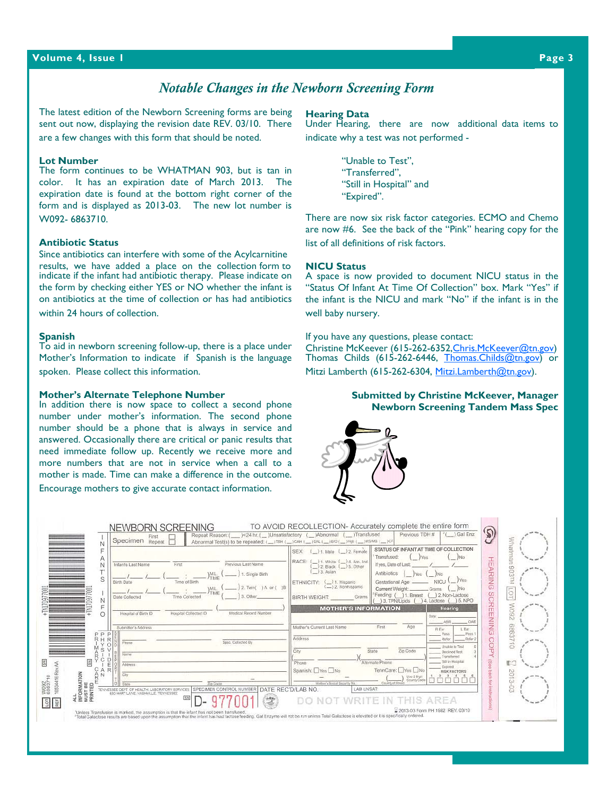#### **Volume 4, Issue 1 Page 3**

## *Notable Changes in the Newborn Screening Form*

The latest edition of the Newborn Screening forms are being sent out now, displaying the revision date REV. 03/10. There are a few changes with this form that should be noted.

#### **Lot Number**

The form continues to be WHATMAN 903, but is tan in color. It has an expiration date of March 2013. The expiration date is found at the bottom right corner of the form and is displayed as 2013-03. The new lot number is W092- 6863710.

#### **Antibiotic Status**

Since antibiotics can interfere with some of the Acylcarnitine results, we have added a place on the collection form to indicate if the infant had antibiotic therapy. Please indicate on the form by checking either YES or NO whether the infant is on antibiotics at the time of collection or has had antibiotics within 24 hours of collection.

#### **Spanish**

To aid in newborn screening follow-up, there is a place under Mother's Information to indicate if Spanish is the language spoken. Please collect this information.

#### **Mother's Alternate Telephone Number**

In addition there is now space to collect a second phone number under mother's information. The second phone number should be a phone that is always in service and answered. Occasionally there are critical or panic results that need immediate follow up. Recently we receive more and more numbers that are not in service when a call to a mother is made. Time can make a difference in the outcome. Encourage mothers to give accurate contact information.

#### **Hearing Data**

Under Hearing, there are now additional data items to indicate why a test was not performed -

> "Unable to Test", "Transferred", "Still in Hospital" and "Expired".

There are now six risk factor categories. ECMO and Chemo are now #6. See the back of the "Pink" hearing copy for the list of all definitions of risk factors.

#### **NICU Status**

A space is now provided to document NICU status in the "Status Of Infant At Time Of Collection" box. Mark "Yes" if the infant is the NICU and mark "No" if the infant is in the well baby nursery.

If you have any questions, please contact:

Christine McKeever (615-262-6352, Chris. McKeever@tn.gov) Thomas Childs (615-262-6446, Thomas.Childs@tn.gov) or Mitzi Lamberth (615-262-6304, Mitzi.Lamberth@tn.gov).

#### **Submitted by Christine McKeever, Manager Newborn Screening Tandem Mass Spec**



| $Specimen$ $Repeat$ $\Box$                                    |                                            | Abnormal Test(s) to be repeated: (__iTSH (__)CAH (__iGAL (__iBIO(__)Hgb (__)MSAMS (__)CF<br>SEX: ( ) 1. Male ( ) 2. Female | STATUS OF INFANT AT TIME OF COLLECTION                                                     | Whatman                 |
|---------------------------------------------------------------|--------------------------------------------|----------------------------------------------------------------------------------------------------------------------------|--------------------------------------------------------------------------------------------|-------------------------|
| E<br>First<br>Infant's Last Name                              | Previous Last Name                         | RACE:<br>1. White ( ) 4. Am. Ind<br>$12.$ Black $($ 5. Other                                                               | Transfused:<br>if yes, Date of Last:                                                       | 퓨                       |
|                                                               | 1. Single Birth<br><b>MIL</b><br>TIME      | ) 3. Asian                                                                                                                 | Antibiotics<br>lyes:<br>N <sub>0</sub>                                                     | 806<br><b>ARING</b>     |
| Time of Birth<br>Birth Date                                   | 2. Twint ) A or ( ) B                      | ETHNICITY: (Lit. Hispanic<br>(-)2. Nonhispanic                                                                             | NICU<br>Gestational Age<br>Current Weight:                                                 |                         |
| Date Collected<br>Time Collected<br>Ν                         | TIME<br>3. Other                           | <b>BIRTH WEIGHT:</b><br>Grams                                                                                              | 12. Non-Lactose<br>Feeding: ( ) 1. Breast<br>$14$ , Lactose ( $15$ , NPO<br>13. TPN/Lipids | 101                     |
| Hospital Collected ID                                         | Modical Record Number                      | <b>MOTHER'S INFORMATION</b>                                                                                                | Hearing,                                                                                   | <b>SCREENING</b><br>60M |
| Hospital of Birth ID                                          |                                            |                                                                                                                            | Opty:<br>ABR                                                                               | N                       |
| Submitter's Address<br>PPP                                    |                                            | Mother's Current Last Name                                                                                                 | First<br>Age<br>R Eiv<br>L Ear<br>Pass<br>Page:                                            | 28989                   |
| Rн<br>R<br>Phone                                              | Spon. Colected By                          | Address                                                                                                                    | <b>Refer</b><br>Rober:                                                                     | $\frac{1}{2}$           |
| s<br>Name                                                     |                                            | City                                                                                                                       | Linsblo to Tost<br>Zip Code<br>State<br>Declined Test                                      | O<br>Ō.                 |
| CD.<br>$\frac{5}{5}$<br>Address                               |                                            | Phone                                                                                                                      | Transferred<br>Still in Hospital<br>Alternate Phone                                        | ö.<br>€                 |
| R<br>City                                                     |                                            | Spanish: Yes No                                                                                                            | Expired<br>TennCare: Yes No<br><b>RISK FACTORS</b>                                         |                         |
| ALL<br>INFORMATION<br>MUST BE<br>PRINTED<br>Style             | Zip Doce                                   | Mather's Social Security No.                                                                                               | Use 2 Digit<br>County Code<br>County of Real                                               | 2013-                   |
| 10534416 Rev<br>ENNESSEE DEPT OF HEALTH, LABORATORY SERVICES. | SPECIMEN CONTROL NUMBER DATE REC'D/LAB NO. | LAB UNSAT                                                                                                                  |                                                                                            | ġ                       |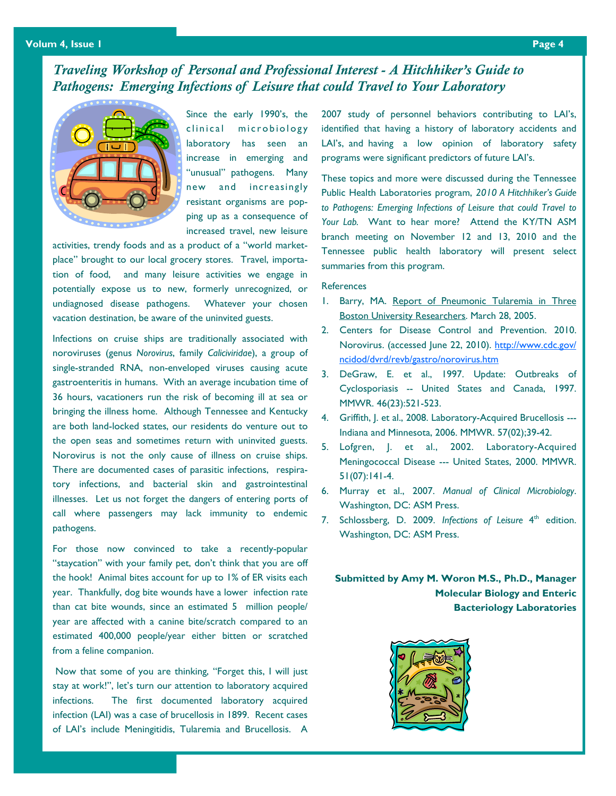## *Traveling Workshop of Personal and Professional Interest - A Hitchhiker's Guide to Pathogens: Emerging Infections of Leisure that could Travel to Your Laboratory*



Since the early 1990's, the clinical microbiology laboratory has seen an increase in emerging and "unusual" pathogens. Many new and increasingly resistant organisms are popping up as a consequence of increased travel, new leisure

activities, trendy foods and as a product of a "world marketplace" brought to our local grocery stores. Travel, importation of food, and many leisure activities we engage in potentially expose us to new, formerly unrecognized, or undiagnosed disease pathogens. Whatever your chosen vacation destination, be aware of the uninvited guests.

Infections on cruise ships are traditionally associated with noroviruses (genus *Norovirus*, family *Caliciviridae*), a group of single-stranded RNA, non-enveloped viruses causing acute gastroenteritis in humans. With an average incubation time of 36 hours, vacationers run the risk of becoming ill at sea or bringing the illness home. Although Tennessee and Kentucky are both land-locked states, our residents do venture out to the open seas and sometimes return with uninvited guests. Norovirus is not the only cause of illness on cruise ships. There are documented cases of parasitic infections, respiratory infections, and bacterial skin and gastrointestinal illnesses. Let us not forget the dangers of entering ports of call where passengers may lack immunity to endemic pathogens.

For those now convinced to take a recently-popular "staycation" with your family pet, don't think that you are off the hook! Animal bites account for up to 1% of ER visits each year. Thankfully, dog bite wounds have a lower infection rate than cat bite wounds, since an estimated 5 million people/ year are affected with a canine bite/scratch compared to an estimated 400,000 people/year either bitten or scratched from a feline companion.

 Now that some of you are thinking, "Forget this, I will just stay at work!", let's turn our attention to laboratory acquired infections. The first documented laboratory acquired infection (LAI) was a case of brucellosis in 1899. Recent cases of LAI's include Meningitidis, Tularemia and Brucellosis. A

2007 study of personnel behaviors contributing to LAI's, identified that having a history of laboratory accidents and LAI's, and having a low opinion of laboratory safety programs were significant predictors of future LAI's.

These topics and more were discussed during the Tennessee Public Health Laboratories program, *2010 A Hitchhiker's Guide to Pathogens: Emerging Infections of Leisure that could Travel to Your Lab.* Want to hear more? Attend the KY/TN ASM branch meeting on November 12 and 13, 2010 and the Tennessee public health laboratory will present select summaries from this program.

#### **References**

- 1. Barry, MA. Report of Pneumonic Tularemia in Three Boston University Researchers. March 28, 2005.
- 2. Centers for Disease Control and Prevention. 2010. Norovirus. (accessed June 22, 2010). http://www.cdc.gov/ ncidod/dvrd/revb/gastro/norovirus.htm
- 3. DeGraw, E. et al., 1997. Update: Outbreaks of Cyclosporiasis -- United States and Canada, 1997. MMWR. 46(23):521-523.
- 4. Griffith, J. et al., 2008. Laboratory-Acquired Brucellosis --- Indiana and Minnesota, 2006. MMWR. 57(02);39-42.
- 5. Lofgren, J. et al., 2002. Laboratory-Acquired Meningococcal Disease --- United States, 2000. MMWR. 51(07):141-4.
- 6. Murray et al., 2007. *Manual of Clinical Microbiology*. Washington, DC: ASM Press.
- 7. Schlossberg, D. 2009. *Infections of Leisure* 4<sup>th</sup> edition. Washington, DC: ASM Press.

**Submitted by Amy M. Woron M.S., Ph.D., Manager Molecular Biology and Enteric Bacteriology Laboratories**

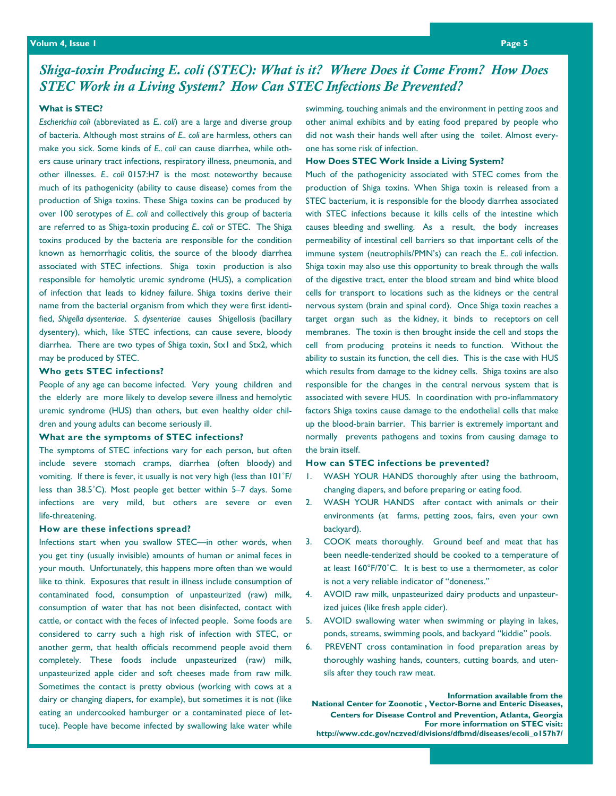## *Shiga-toxin Producing E. coli (STEC): What is it? Where Does it Come From? How Does STEC Work in a Living System? How Can STEC Infections Be Prevented?*

#### **What is STEC?**

*Escherichia coli* (abbreviated as *E.. coli*) are a large and diverse group of bacteria. Although most strains of *E.. coli* are harmless, others can make you sick. Some kinds of *E.. coli* can cause diarrhea, while others cause urinary tract infections, respiratory illness, pneumonia, and other illnesses. *E.. coli* 0157:H7 is the most noteworthy because much of its pathogenicity (ability to cause disease) comes from the production of Shiga toxins. These Shiga toxins can be produced by over 100 serotypes of *E.. coli* and collectively this group of bacteria are referred to as Shiga-toxin producing *E.. coli* or STEC. The Shiga toxins produced by the bacteria are responsible for the condition known as hemorrhagic colitis, the source of the bloody diarrhea associated with STEC infections. Shiga toxin production is also responsible for hemolytic uremic syndrome (HUS), a complication of infection that leads to kidney failure. Shiga toxins derive their name from the bacterial organism from which they were first identified, *Shigella dysenteriae*. *S. dysenteriae* causes Shigellosis (bacillary dysentery), which, like STEC infections, can cause severe, bloody diarrhea. There are two types of Shiga toxin, Stx1 and Stx2, which may be produced by STEC.

#### **Who gets STEC infections?**

People of any age can become infected. Very young children and the elderly are more likely to develop severe illness and hemolytic uremic syndrome (HUS) than others, but even healthy older children and young adults can become seriously ill.

#### **What are the symptoms of STEC infections?**

The symptoms of STEC infections vary for each person, but often include severe stomach cramps, diarrhea (often bloody) and vomiting. If there is fever, it usually is not very high (less than 101˚F/ less than 38.5˚C). Most people get better within 5–7 days. Some infections are very mild, but others are severe or even life-threatening.

#### **How are these infections spread?**

*Newborn Screening Forms Update*  your mouth. Unfortunately, this happens more often than we would Infections start when you swallow STEC—in other words, when you get tiny (usually invisible) amounts of human or animal feces in like to think. Exposures that result in illness include consumption of contaminated food, consumption of unpasteurized (raw) milk, consumption of water that has not been disinfected, contact with cattle, or contact with the feces of infected people. Some foods are considered to carry such a high risk of infection with STEC, or another germ, that health officials recommend people avoid them completely. These foods include unpasteurized (raw) milk, unpasteurized apple cider and soft cheeses made from raw milk. Sometimes the contact is pretty obvious (working with cows at a dairy or changing diapers, for example), but sometimes it is not (like eating an undercooked hamburger or a contaminated piece of lettuce). People have become infected by swallowing lake water while

swimming, touching animals and the environment in petting zoos and other animal exhibits and by eating food prepared by people who did not wash their hands well after using the toilet. Almost everyone has some risk of infection.

#### **How Does STEC Work Inside a Living System?**

Much of the pathogenicity associated with STEC comes from the production of Shiga toxins. When Shiga toxin is released from a STEC bacterium, it is responsible for the bloody diarrhea associated with STEC infections because it kills cells of the intestine which causes bleeding and swelling. As a result, the body increases permeability of intestinal cell barriers so that important cells of the immune system (neutrophils/PMN's) can reach the *E.. coli* infection. Shiga toxin may also use this opportunity to break through the walls of the digestive tract, enter the blood stream and bind white blood cells for transport to locations such as the kidneys or the central nervous system (brain and spinal cord). Once Shiga toxin reaches a target organ such as the kidney, it binds to receptors on cell membranes. The toxin is then brought inside the cell and stops the cell from producing proteins it needs to function. Without the ability to sustain its function, the cell dies. This is the case with HUS which results from damage to the kidney cells. Shiga toxins are also responsible for the changes in the central nervous system that is associated with severe HUS. In coordination with pro-inflammatory factors Shiga toxins cause damage to the endothelial cells that make up the blood-brain barrier. This barrier is extremely important and normally prevents pathogens and toxins from causing damage to the brain itself.

#### **How can STEC infections be prevented?**

- 1. WASH YOUR HANDS thoroughly after using the bathroom, changing diapers, and before preparing or eating food.
- 2. WASH YOUR HANDS after contact with animals or their environments (at farms, petting zoos, fairs, even your own backyard).
- 3. COOK meats thoroughly. Ground beef and meat that has been needle-tenderized should be cooked to a temperature of at least 160°F/70˚C. It is best to use a thermometer, as color is not a very reliable indicator of "doneness."
- 4. AVOID raw milk, unpasteurized dairy products and unpasteurized juices (like fresh apple cider).
- 5. AVOID swallowing water when swimming or playing in lakes, ponds, streams, swimming pools, and backyard "kiddie" pools.
- 6. PREVENT cross contamination in food preparation areas by thoroughly washing hands, counters, cutting boards, and utensils after they touch raw meat.

**Information available from the National Center for Zoonotic , Vector-Borne and Enteric Diseases, Centers for Disease Control and Prevention, Atlanta, Georgia For more information on STEC visit: http://www.cdc.gov/nczved/divisions/dfbmd/diseases/ecoli\_o157h7/**